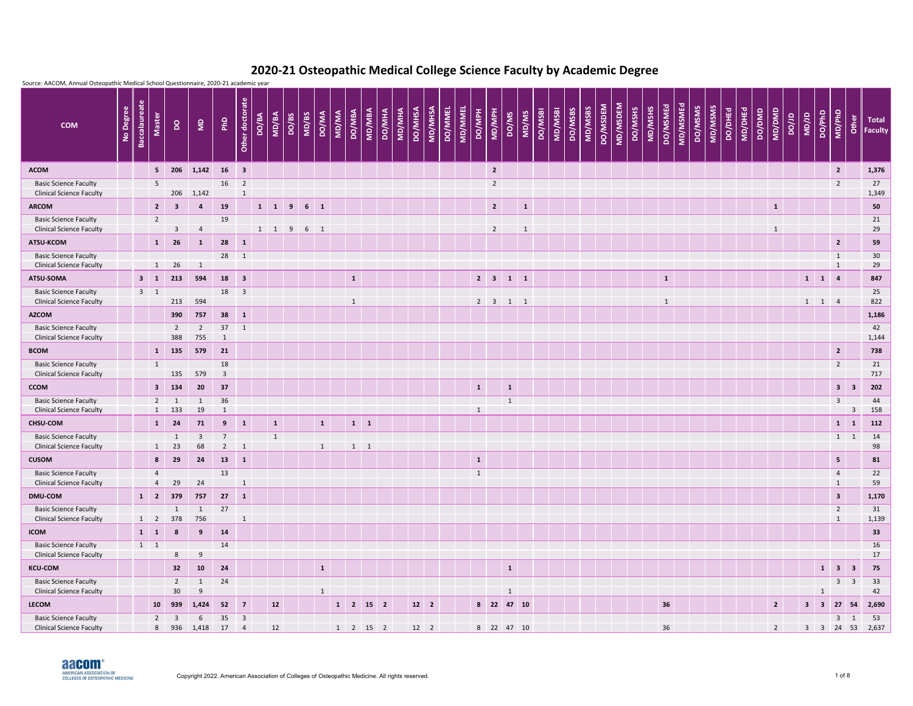| Source: AACOM, Annual Osteopathic Medical School Questionnaire, 2020-21 academic year<br>Other doctorate |        |                |       |              |        |                         |                                                                                                                                              |                                                                                                                                                                   |  |  |  |  |  |
|----------------------------------------------------------------------------------------------------------|--------|----------------|-------|--------------|--------|-------------------------|----------------------------------------------------------------------------------------------------------------------------------------------|-------------------------------------------------------------------------------------------------------------------------------------------------------------------|--|--|--|--|--|
| MD/MSMS<br>MD/DHEd<br>DO/DHEd                                                                            | DO/DMD | MD/DMD         | DO/JD | <b>UD/JD</b> | DO/PhD | MD/PhD                  | Other                                                                                                                                        | <b>Total</b><br><b>Faculty</b>                                                                                                                                    |  |  |  |  |  |
|                                                                                                          |        |                |       |              |        | $\overline{2}$          |                                                                                                                                              | 1,376                                                                                                                                                             |  |  |  |  |  |
|                                                                                                          |        |                |       |              |        | $\overline{2}$          |                                                                                                                                              | 27<br>1,349                                                                                                                                                       |  |  |  |  |  |
|                                                                                                          |        | $\mathbf{1}$   |       |              |        |                         |                                                                                                                                              | 50                                                                                                                                                                |  |  |  |  |  |
|                                                                                                          |        | $\mathbf{1}$   |       |              |        |                         |                                                                                                                                              | 21<br>29                                                                                                                                                          |  |  |  |  |  |
|                                                                                                          |        |                |       |              |        | $\overline{2}$          |                                                                                                                                              | 59                                                                                                                                                                |  |  |  |  |  |
|                                                                                                          |        |                |       |              |        | $\mathbf{1}$            |                                                                                                                                              | 30 <sup>°</sup><br>29                                                                                                                                             |  |  |  |  |  |
|                                                                                                          |        |                |       |              |        | $\overline{4}$          |                                                                                                                                              | 847                                                                                                                                                               |  |  |  |  |  |
|                                                                                                          |        |                |       |              |        |                         |                                                                                                                                              | 25<br>822                                                                                                                                                         |  |  |  |  |  |
|                                                                                                          |        |                |       |              |        |                         |                                                                                                                                              | 1,186                                                                                                                                                             |  |  |  |  |  |
|                                                                                                          |        |                |       |              |        |                         |                                                                                                                                              | 42                                                                                                                                                                |  |  |  |  |  |
|                                                                                                          |        |                |       |              |        |                         |                                                                                                                                              | 1,144                                                                                                                                                             |  |  |  |  |  |
|                                                                                                          |        |                |       |              |        |                         |                                                                                                                                              | 738<br>21                                                                                                                                                         |  |  |  |  |  |
|                                                                                                          |        |                |       |              |        |                         |                                                                                                                                              | 717                                                                                                                                                               |  |  |  |  |  |
|                                                                                                          |        |                |       |              |        |                         |                                                                                                                                              | 202                                                                                                                                                               |  |  |  |  |  |
|                                                                                                          |        |                |       |              |        | $\overline{3}$          |                                                                                                                                              | 44<br>158                                                                                                                                                         |  |  |  |  |  |
|                                                                                                          |        |                |       |              |        |                         |                                                                                                                                              | 112                                                                                                                                                               |  |  |  |  |  |
|                                                                                                          |        |                |       |              |        |                         |                                                                                                                                              | 14                                                                                                                                                                |  |  |  |  |  |
|                                                                                                          |        |                |       |              |        |                         |                                                                                                                                              | 98<br>81                                                                                                                                                          |  |  |  |  |  |
|                                                                                                          |        |                |       |              |        |                         |                                                                                                                                              | 22                                                                                                                                                                |  |  |  |  |  |
|                                                                                                          |        |                |       |              |        | $\mathbf{1}$            |                                                                                                                                              | 59                                                                                                                                                                |  |  |  |  |  |
|                                                                                                          |        |                |       |              |        | $\overline{\mathbf{3}}$ |                                                                                                                                              | 1,170                                                                                                                                                             |  |  |  |  |  |
|                                                                                                          |        |                |       |              |        | $\mathbf{1}$            |                                                                                                                                              | 31<br>1,139                                                                                                                                                       |  |  |  |  |  |
|                                                                                                          |        |                |       |              |        |                         |                                                                                                                                              | 33                                                                                                                                                                |  |  |  |  |  |
|                                                                                                          |        |                |       |              |        |                         |                                                                                                                                              | 16<br>17                                                                                                                                                          |  |  |  |  |  |
|                                                                                                          |        |                |       |              |        |                         |                                                                                                                                              | 75                                                                                                                                                                |  |  |  |  |  |
|                                                                                                          |        |                |       |              |        |                         |                                                                                                                                              | 33                                                                                                                                                                |  |  |  |  |  |
|                                                                                                          |        | $\overline{2}$ |       |              |        |                         |                                                                                                                                              | 42<br>2,690                                                                                                                                                       |  |  |  |  |  |
|                                                                                                          |        | $2^{\circ}$    |       |              |        |                         |                                                                                                                                              | 53                                                                                                                                                                |  |  |  |  |  |
|                                                                                                          |        |                |       |              |        | $\mathbf{1}$            | $\mathbf{1}$<br>$1 \quad 1$<br>$1 \quad 1 \quad 4$<br>$\overline{2}$<br>$\overline{2}$<br>5 <sub>1</sub><br>$\overline{4}$<br>$\overline{2}$ | $3 \mid 3$<br>$\mathbf{3}$<br>$1 \quad 1$<br>$1 \quad 1$<br>$1 \quad 3 \quad 3$<br>$3 \quad 3$<br>$3 \quad 3 \quad 27 \quad 54$<br>$3 \quad 1$<br>3 3 24 53 2,637 |  |  |  |  |  |

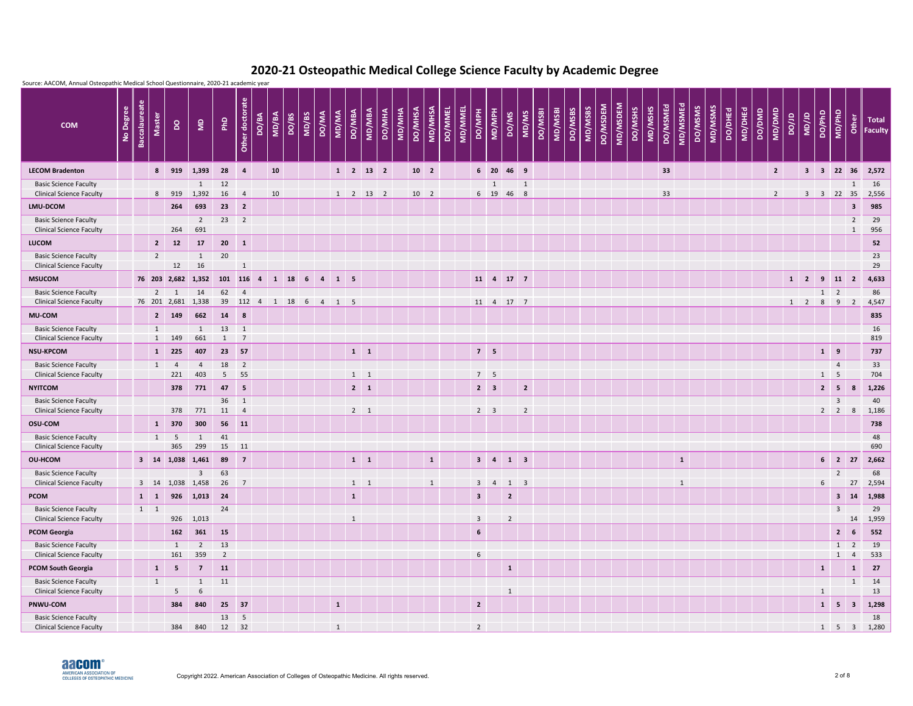

|                                                                 | Source: AACOM, Annual Osteopathic Medical School Questionnaire, 2020-21 academic year |                      |                   |                |                                    |                  |                                |       |       |              |       |                |                               |             |        |        |                |                 |                |                |                 |                |                             |                |         |         |                           |          |          |         |         |          |              |         |         |                |         |        |                |             |                   |                          |                      |                                |                                    |
|-----------------------------------------------------------------|---------------------------------------------------------------------------------------|----------------------|-------------------|----------------|------------------------------------|------------------|--------------------------------|-------|-------|--------------|-------|----------------|-------------------------------|-------------|--------|--------|----------------|-----------------|----------------|----------------|-----------------|----------------|-----------------------------|----------------|---------|---------|---------------------------|----------|----------|---------|---------|----------|--------------|---------|---------|----------------|---------|--------|----------------|-------------|-------------------|--------------------------|----------------------|--------------------------------|------------------------------------|
| <b>COM</b>                                                      | No Degree                                                                             | <b>Baccalaureate</b> | <b>Master</b>     | $\overline{a}$ | $\epsilon$                         | PhD              | ate<br>Other docto             | DO/BA | MD/BA | DO/BS        | MD/BS | <b>DO/MA</b>   | <b>DO/MBA</b><br><b>AN/QM</b> | MD/MBA      | DO/MHA | MD/MHA | <b>DO/MHSA</b> | MD/MHSA         | <b>DO/MMEL</b> | <b>MD/MMEL</b> | <b>PO/MPH</b>   | MD/MPH         | DO/MS                       | MD/MS          | DO/MSBI | MD/MSBI | MD/MSBS<br><b>DO/MSBS</b> | DO/MSDEM | MD/MSDEM | DO/MSHS | MD/MSHS | DO/MSMEd | MD/MSMEd     | DO/MSMS | MD/MSMS | <b>DO/DHEd</b> | MD/DHEd | DO/DMD | MD/DMD         | ar/oa       | UD/1D             | DO/PhD                   | MD/PhD<br>Other      |                                | <b>Total</b><br><b>Faculty</b>     |
| <b>LECOM Bradenton</b>                                          |                                                                                       |                      |                   | 8 919          | 1,393                              | 28               | $\overline{4}$                 |       | 10    |              |       |                | $1 \quad 2 \quad 13 \quad 2$  |             |        |        |                | 10 <sup>2</sup> |                |                |                 |                | 6 20 46 9                   |                |         |         |                           |          |          |         |         | 33       |              |         |         |                |         |        | $2^{\circ}$    |             |                   |                          |                      |                                | 3 3 22 36 2,572                    |
| <b>Basic Science Faculty</b><br><b>Clinical Science Faculty</b> |                                                                                       |                      | 8                 | 919            | $\mathbf{1}$<br>1,392              | 12<br>16         | $\overline{4}$                 |       | 10    |              |       |                | $1 \quad 2 \quad 13 \quad 2$  |             |        |        |                | 10 <sub>2</sub> |                |                |                 | 1<br>6 19 46   |                             | 1<br>8         |         |         |                           |          |          |         |         | 33       |              |         |         |                |         |        | $\overline{2}$ |             | $\mathbf{3}$      | $\overline{\phantom{a}}$ | 22                   | 1<br>35                        | 16<br>2,556                        |
| LMU-DCOM                                                        |                                                                                       |                      |                   | 264            | 693                                | 23               | $\overline{\mathbf{2}}$        |       |       |              |       |                |                               |             |        |        |                |                 |                |                |                 |                |                             |                |         |         |                           |          |          |         |         |          |              |         |         |                |         |        |                |             |                   |                          |                      | $\mathbf{3}$                   | 985                                |
| <b>Basic Science Faculty</b><br><b>Clinical Science Faculty</b> |                                                                                       |                      |                   | 264            | $\overline{2}$<br>691              | 23               | $\overline{2}$                 |       |       |              |       |                |                               |             |        |        |                |                 |                |                |                 |                |                             |                |         |         |                           |          |          |         |         |          |              |         |         |                |         |        |                |             |                   |                          |                      | $\overline{2}$<br>$\mathbf{1}$ | 29<br>956                          |
| <b>LUCOM</b>                                                    |                                                                                       |                      | $\overline{2}$    | 12             | 17                                 | $20 \t 1$        |                                |       |       |              |       |                |                               |             |        |        |                |                 |                |                |                 |                |                             |                |         |         |                           |          |          |         |         |          |              |         |         |                |         |        |                |             |                   |                          |                      |                                | 52                                 |
| <b>Basic Science Faculty</b>                                    |                                                                                       |                      | $\overline{2}$    |                | 1                                  | 20               |                                |       |       |              |       |                |                               |             |        |        |                |                 |                |                |                 |                |                             |                |         |         |                           |          |          |         |         |          |              |         |         |                |         |        |                |             |                   |                          |                      |                                | 23                                 |
| <b>Clinical Science Faculty</b><br><b>MSUCOM</b>                |                                                                                       |                      |                   | 12             | 16<br>76 203 2,682 1,352           | 101 116 4        | 1                              |       |       | 1 18 6 4 1 5 |       |                |                               |             |        |        |                |                 |                |                |                 |                | 11 4 17 7                   |                |         |         |                           |          |          |         |         |          |              |         |         |                |         |        |                |             | $1 \quad 2 \quad$ |                          | $9$ 11 2             |                                | 29<br>4,633                        |
| <b>Basic Science Faculty</b>                                    |                                                                                       |                      |                   | $2 \quad 1$    | 14                                 | 62               | $\overline{4}$                 |       |       |              |       |                |                               |             |        |        |                |                 |                |                |                 |                |                             |                |         |         |                           |          |          |         |         |          |              |         |         |                |         |        |                |             |                   | $1 \quad 2$              |                      |                                | 86                                 |
| <b>Clinical Science Faculty</b>                                 |                                                                                       |                      |                   |                | 76 201 2,681 1,338                 |                  | 39 112 4                       |       | 1 18  |              | 6     | $\overline{4}$ | $1 \quad 5$                   |             |        |        |                |                 |                |                |                 |                | 11 4 17 7                   |                |         |         |                           |          |          |         |         |          |              |         |         |                |         |        |                | $1 \quad 2$ |                   | 8                        | 9                    | $\overline{2}$                 | 4,547                              |
| <b>MU-COM</b>                                                   |                                                                                       |                      |                   | 2 149          | 662                                | 14               | 8                              |       |       |              |       |                |                               |             |        |        |                |                 |                |                |                 |                |                             |                |         |         |                           |          |          |         |         |          |              |         |         |                |         |        |                |             |                   |                          |                      |                                | 835                                |
| <b>Basic Science Faculty</b>                                    |                                                                                       |                      | $\mathbf{1}$<br>1 | 149            | 1<br>661                           | 13               | $\mathbf{1}$                   |       |       |              |       |                |                               |             |        |        |                |                 |                |                |                 |                |                             |                |         |         |                           |          |          |         |         |          |              |         |         |                |         |        |                |             |                   |                          |                      |                                | 16<br>819                          |
| <b>Clinical Science Faculty</b><br><b>NSU-KPCOM</b>             |                                                                                       |                      | $\mathbf{1}$      | 225            | 407                                | $\sqrt{1}$<br>23 | $\overline{7}$<br>57           |       |       |              |       |                |                               | $1 \quad 1$ |        |        |                |                 |                |                | $7 \quad 5$     |                |                             |                |         |         |                           |          |          |         |         |          |              |         |         |                |         |        |                |             |                   | $1 \quad 9$              |                      |                                | 737                                |
| <b>Basic Science Faculty</b>                                    |                                                                                       |                      | 1                 | $\overline{4}$ | $\overline{4}$                     | 18               | $\overline{2}$                 |       |       |              |       |                |                               |             |        |        |                |                 |                |                |                 |                |                             |                |         |         |                           |          |          |         |         |          |              |         |         |                |         |        |                |             |                   |                          | $\overline{4}$       |                                | 33                                 |
| <b>Clinical Science Faculty</b>                                 |                                                                                       |                      |                   | 221            | 403                                | $5^{\circ}$      | 55                             |       |       |              |       |                |                               | $1 \quad 1$ |        |        |                |                 |                |                | 7 <sub>5</sub>  |                |                             |                |         |         |                           |          |          |         |         |          |              |         |         |                |         |        |                |             |                   | $1 \quad 5$              |                      |                                | 704                                |
| <b>NYITCOM</b>                                                  |                                                                                       |                      |                   | 378            | 771                                | 47               | $\overline{\mathbf{5}}$        |       |       |              |       |                |                               | $2 \mid 1$  |        |        |                |                 |                |                | $2 \quad 3$     |                |                             | $\overline{2}$ |         |         |                           |          |          |         |         |          |              |         |         |                |         |        |                |             |                   | $2 \mid 5$               |                      | $8\phantom{1}$                 | 1,226                              |
| <b>Basic Science Faculty</b><br><b>Clinical Science Faculty</b> |                                                                                       |                      |                   |                | 378 771 11                         | 36               | $\mathbf{1}$<br>$\overline{4}$ |       |       |              |       |                |                               | $2 \quad 1$ |        |        |                |                 |                |                | $2 \quad 3$     |                | $\overline{\phantom{a}}$ 2  |                |         |         |                           |          |          |         |         |          |              |         |         |                |         |        |                |             |                   |                          | $\overline{3}$       |                                | 40<br>$2 \mid 2 \mid 8 \mid 1,186$ |
| <b>OSU-COM</b>                                                  |                                                                                       |                      |                   | 1 370          | 300                                | 56 11            |                                |       |       |              |       |                |                               |             |        |        |                |                 |                |                |                 |                |                             |                |         |         |                           |          |          |         |         |          |              |         |         |                |         |        |                |             |                   |                          |                      |                                | 738                                |
| <b>Basic Science Faculty</b>                                    |                                                                                       |                      |                   | $1 \quad 5$    | $\overline{1}$                     | 41               |                                |       |       |              |       |                |                               |             |        |        |                |                 |                |                |                 |                |                             |                |         |         |                           |          |          |         |         |          |              |         |         |                |         |        |                |             |                   |                          |                      |                                | 48                                 |
| <b>Clinical Science Faculty</b>                                 |                                                                                       |                      |                   | 365            | 299                                | 15 11            |                                |       |       |              |       |                |                               |             |        |        |                |                 |                |                |                 |                |                             |                |         |         |                           |          |          |         |         |          |              |         |         |                |         |        |                |             |                   |                          |                      |                                | 690                                |
| <b>OU-HCOM</b>                                                  |                                                                                       |                      |                   |                | 3 14 1,038 1,461                   | 89 7             |                                |       |       |              |       |                |                               | $1 \quad 1$ |        |        |                | $\mathbf{1}$    |                |                |                 |                | $3 \quad 4 \quad 1 \quad 3$ |                |         |         |                           |          |          |         |         |          | $\mathbf{1}$ |         |         |                |         |        |                |             |                   |                          | $6 \quad 2 \quad 27$ |                                | 2,662                              |
| <b>Basic Science Faculty</b><br><b>Clinical Science Faculty</b> |                                                                                       |                      |                   |                | $\overline{3}$<br>3 14 1,038 1,458 | 63<br>26         | $\overline{7}$                 |       |       |              |       |                |                               | $1 \quad 1$ |        |        |                | $\mathbf{1}$    |                |                | 3 <sup>1</sup>  | $\overline{4}$ | $1 \quad 3$                 |                |         |         |                           |          |          |         |         |          | $\mathbf{1}$ |         |         |                |         |        |                |             |                   | 6 <sup>1</sup>           | $\overline{2}$       | 27                             | 68<br>2,594                        |
| <b>PCOM</b>                                                     |                                                                                       |                      | $1 \quad 1$       |                | 926 1,013 24                       |                  |                                |       |       |              |       |                | $\mathbf{1}$                  |             |        |        |                |                 |                |                | 3 <sup>7</sup>  |                | $\overline{2}$              |                |         |         |                           |          |          |         |         |          |              |         |         |                |         |        |                |             |                   |                          | $3 \qquad 14$        |                                | 1,988                              |
| <b>Basic Science Faculty</b><br><b>Clinical Science Faculty</b> |                                                                                       |                      | $1 \quad 1$       |                | 926 1,013                          | 24               |                                |       |       |              |       |                | $\mathbf{1}$                  |             |        |        |                |                 |                |                | $\mathbf{3}$    |                | $\overline{2}$              |                |         |         |                           |          |          |         |         |          |              |         |         |                |         |        |                |             |                   |                          | 3 <sup>1</sup>       | 14                             | 29<br>1,959                        |
| <b>PCOM Georgia</b>                                             |                                                                                       |                      |                   | 162            | 361                                | 15               |                                |       |       |              |       |                |                               |             |        |        |                |                 |                |                | $6\overline{6}$ |                |                             |                |         |         |                           |          |          |         |         |          |              |         |         |                |         |        |                |             |                   |                          | $\overline{2}$       | 6                              | 552                                |
| <b>Basic Science Faculty</b>                                    |                                                                                       |                      |                   | 1              | $\overline{2}$                     | 13               |                                |       |       |              |       |                |                               |             |        |        |                |                 |                |                |                 |                |                             |                |         |         |                           |          |          |         |         |          |              |         |         |                |         |        |                |             |                   |                          | $1\quad 2$           |                                | 19                                 |
| <b>Clinical Science Faculty</b>                                 |                                                                                       |                      |                   | 161            | 359                                | $\overline{2}$   |                                |       |       |              |       |                |                               |             |        |        |                |                 |                |                | $6\phantom{.}6$ |                |                             |                |         |         |                           |          |          |         |         |          |              |         |         |                |         |        |                |             |                   |                          | $1 \quad 4$          |                                | 533                                |
| <b>PCOM South Georgia</b>                                       |                                                                                       |                      | $\vert$ 1         | 5              | $\overline{7}$                     | 11               |                                |       |       |              |       |                |                               |             |        |        |                |                 |                |                |                 |                | $\mathbf{1}$                |                |         |         |                           |          |          |         |         |          |              |         |         |                |         |        |                |             |                   | 1                        |                      | $\mathbf{1}$                   | 27                                 |
| <b>Basic Science Faculty</b><br><b>Clinical Science Faculty</b> |                                                                                       |                      | $\overline{1}$    | 5 <sub>5</sub> | $\mathbf{1}$<br>6                  | 11               |                                |       |       |              |       |                |                               |             |        |        |                |                 |                |                |                 |                | $\mathbf{1}$                |                |         |         |                           |          |          |         |         |          |              |         |         |                |         |        |                |             |                   | 1                        |                      | $\mathbf{1}$                   | 14<br>13                           |
| PNWU-COM                                                        |                                                                                       |                      |                   | 384            | 840                                | 25 37            |                                |       |       |              |       |                | $\mathbf{1}$                  |             |        |        |                |                 |                |                | $\overline{2}$  |                |                             |                |         |         |                           |          |          |         |         |          |              |         |         |                |         |        |                |             |                   |                          | $1 \quad 5 \quad 3$  |                                | 1,298                              |
| <b>Basic Science Faculty</b>                                    |                                                                                       |                      |                   |                |                                    | 13               | $5\phantom{.0}$                |       |       |              |       |                |                               |             |        |        |                |                 |                |                |                 |                |                             |                |         |         |                           |          |          |         |         |          |              |         |         |                |         |        |                |             |                   |                          |                      |                                | 18                                 |
| <b>Clinical Science Faculty</b>                                 |                                                                                       |                      |                   | 384            | 840                                | 12 32            |                                |       |       |              |       |                | $\mathbf{1}$                  |             |        |        |                |                 |                |                | $\overline{2}$  |                |                             |                |         |         |                           |          |          |         |         |          |              |         |         |                |         |        |                |             |                   |                          |                      |                                | $1 \quad 5 \quad 3 \quad 1,280$    |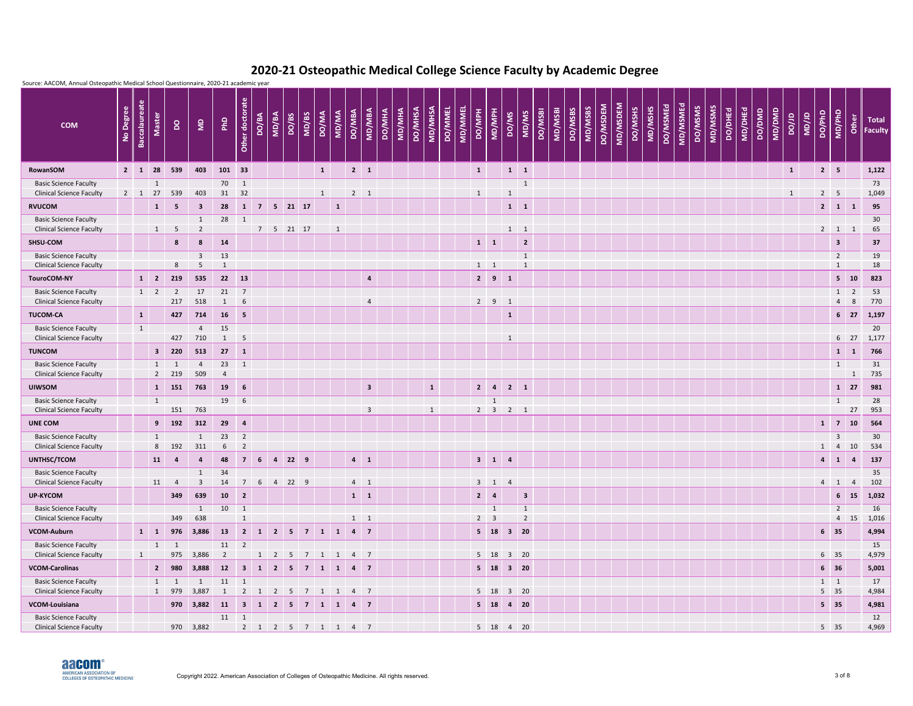

| Source: AACOM, Annual Osteopathic Medical School Questionnaire, 2020-21 academic year |           |                      |                         |                |                                         |                          |                    |                |            |                       |       |              |                     |                |                  |               |                |              |         |                |               |                     |                             |                |         |         |                |         |          |          |         |                     |          |         |         |         |         |        |        |              |              |              |                              |              |                         |
|---------------------------------------------------------------------------------------|-----------|----------------------|-------------------------|----------------|-----------------------------------------|--------------------------|--------------------|----------------|------------|-----------------------|-------|--------------|---------------------|----------------|------------------|---------------|----------------|--------------|---------|----------------|---------------|---------------------|-----------------------------|----------------|---------|---------|----------------|---------|----------|----------|---------|---------------------|----------|---------|---------|---------|---------|--------|--------|--------------|--------------|--------------|------------------------------|--------------|-------------------------|
| <b>COM</b>                                                                            | No Degree | <b>Baccalaureate</b> | <b>Master</b>           | $\mathsf{S}$   | $\epsilon$                              | PhD                      | ate<br>Other docto | DO/BA          | MD/BA      | DO/BS                 | MD/BS | <b>DO/MA</b> | MD/MA               | <b>DO/MBA</b>  | MD/MBA<br>DO/MHA | <b>MD/MHA</b> | <b>DO/MHSA</b> | MD/MHSA      | DO/MMEL | <b>MD/MMEL</b> | <b>PO/MPH</b> | MD/MPH              | DO/MS                       | MD/MS          | DO/MSBI | MD/MSBI | <b>DO/MSBS</b> | MD/MSBS | DO/MSDEM | MD/MSDEM | DO/MSHS | DO/MSMEd<br>MD/MSHS | MD/MSMEd | DO/MSMS | MD/MSMS | DO/DHEd | MD/DHEd | DO/DMD | MD/DMD | <b>ar/oa</b> | <b>UD/JD</b> | DO/PhD       | MD/PhD                       | <b>Other</b> | <b>Total</b><br>Faculty |
| RowanSOM                                                                              |           | $2 \mid 1$           | 28                      | 539            | 403                                     | 101 33                   |                    |                |            |                       |       | $\mathbf{1}$ |                     | $2 \quad 1$    |                  |               |                |              |         |                | $\mathbf{1}$  |                     | $1 \quad 1$                 |                |         |         |                |         |          |          |         |                     |          |         |         |         |         |        |        | $\mathbf{1}$ |              | $2 \mid 5$   |                              |              | 1,122                   |
| <b>Basic Science Faculty</b>                                                          |           |                      | 1                       |                |                                         | 70                       | $\mathbf{1}$       |                |            |                       |       |              |                     |                |                  |               |                |              |         |                |               |                     |                             | $\mathbf{1}$   |         |         |                |         |          |          |         |                     |          |         |         |         |         |        |        |              |              |              |                              |              | 73                      |
| <b>Clinical Science Faculty</b>                                                       |           | $2 \mid 1$           | 27                      | 539            | 403                                     | 31                       | 32                 |                |            |                       |       | $\mathbf{1}$ |                     | $2 \quad 1$    |                  |               |                |              |         |                | $\mathbf{1}$  |                     | $\mathbf{1}$                |                |         |         |                |         |          |          |         |                     |          |         |         |         |         |        |        | $\mathbf{1}$ |              | $2 \quad 5$  |                              |              | 1,049                   |
| <b>RVUCOM</b><br><b>Basic Science Faculty</b>                                         |           |                      | $\mathbf{1}$            | 5              | $\overline{\mathbf{3}}$                 | 28                       | $\mathbf{1}$       | $\overline{7}$ |            | $5 \quad 21 \quad 17$ |       |              | $\mathbf{1}$        |                |                  |               |                |              |         |                |               |                     | $1 \quad 1$                 |                |         |         |                |         |          |          |         |                     |          |         |         |         |         |        |        |              |              | $2 \mid 1$   |                              | $\mathbf{1}$ | 95                      |
| <b>Clinical Science Faculty</b>                                                       |           |                      | 1                       | 5              | 1<br>$\overline{2}$                     | 28                       | $\mathbf{1}$       | $\overline{7}$ |            | 5 21 17               |       |              | $\mathbf{1}$        |                |                  |               |                |              |         |                |               |                     | $1 \quad 1$                 |                |         |         |                |         |          |          |         |                     |          |         |         |         |         |        |        |              |              |              | $2 \qquad 1 \qquad 1$        |              | 30<br>65                |
| SHSU-COM                                                                              |           |                      |                         | 8              | 8                                       | 14                       |                    |                |            |                       |       |              |                     |                |                  |               |                |              |         |                | $1 \quad 1$   |                     |                             | $\overline{2}$ |         |         |                |         |          |          |         |                     |          |         |         |         |         |        |        |              |              |              | $\overline{\mathbf{3}}$      |              | 37                      |
| <b>Basic Science Faculty</b>                                                          |           |                      |                         |                | $\overline{\mathbf{3}}$                 | 13                       |                    |                |            |                       |       |              |                     |                |                  |               |                |              |         |                |               |                     |                             | $\mathbf{1}$   |         |         |                |         |          |          |         |                     |          |         |         |         |         |        |        |              |              |              | $\overline{2}$               |              | 19                      |
| <b>Clinical Science Faculty</b><br><b>TouroCOM-NY</b>                                 |           |                      | $1 \quad 2$             | 8<br>219       | -5<br>535                               |                          | 22 13              |                |            |                       |       |              |                     | $\overline{a}$ |                  |               |                |              |         |                | $1 \quad 1$   | $2 \quad 9 \quad 1$ |                             | $\mathbf{1}$   |         |         |                |         |          |          |         |                     |          |         |         |         |         |        |        |              |              |              | $\mathbf{1}$<br>$5 \quad 10$ |              | 18<br>823               |
| <b>Basic Science Faculty</b>                                                          |           |                      | $1 \quad 2$             | $\overline{2}$ | 17                                      | 21                       | $\overline{7}$     |                |            |                       |       |              |                     |                |                  |               |                |              |         |                |               |                     |                             |                |         |         |                |         |          |          |         |                     |          |         |         |         |         |        |        |              |              |              | $1 \quad 2$                  |              | 53                      |
| <b>Clinical Science Faculty</b>                                                       |           |                      |                         | 217            | 518                                     | $\sim$ 1                 | 6                  |                |            |                       |       |              |                     |                | 4                |               |                |              |         |                | $2^{\circ}$   | $9 \quad 1$         |                             |                |         |         |                |         |          |          |         |                     |          |         |         |         |         |        |        |              |              |              | $\overline{4}$               | 8            | 770                     |
| <b>TUCOM-CA</b>                                                                       |           | $\mathbf{1}$         |                         | 427            | 714                                     | 16                       | 5                  |                |            |                       |       |              |                     |                |                  |               |                |              |         |                |               |                     | $\mathbf{1}$                |                |         |         |                |         |          |          |         |                     |          |         |         |         |         |        |        |              |              |              | 6 <sup>27</sup>              |              | 1,197                   |
| <b>Basic Science Faculty</b>                                                          |           | $\mathbf{1}$         |                         |                | $\overline{4}$                          | 15                       |                    |                |            |                       |       |              |                     |                |                  |               |                |              |         |                |               |                     |                             |                |         |         |                |         |          |          |         |                     |          |         |         |         |         |        |        |              |              |              |                              |              | 20                      |
| <b>Clinical Science Faculty</b><br><b>TUNCOM</b>                                      |           |                      | $\overline{\mathbf{3}}$ | 427<br>220     | 710<br>513                              | 27                       | -5<br>$\mathbf{1}$ |                |            |                       |       |              |                     |                |                  |               |                |              |         |                |               |                     | $\mathbf{1}$                |                |         |         |                |         |          |          |         |                     |          |         |         |         |         |        |        |              |              |              | 6 <sup>27</sup><br>$\vert$ 1 | 1            | 1,177<br>766            |
| <b>Basic Science Faculty</b>                                                          |           |                      | 1                       |                | $\overline{4}$                          | 23                       | 1                  |                |            |                       |       |              |                     |                |                  |               |                |              |         |                |               |                     |                             |                |         |         |                |         |          |          |         |                     |          |         |         |         |         |        |        |              |              |              | $\mathbf{1}$                 |              | 31                      |
| <b>Clinical Science Faculty</b>                                                       |           |                      | $2^{\circ}$             | 219            | 509                                     | $\overline{4}$           |                    |                |            |                       |       |              |                     |                |                  |               |                |              |         |                |               |                     |                             |                |         |         |                |         |          |          |         |                     |          |         |         |         |         |        |        |              |              |              |                              | $\mathbf{1}$ | 735                     |
| <b>UIWSOM</b>                                                                         |           |                      | 1                       | 151            | 763                                     | 19                       | 6                  |                |            |                       |       |              |                     |                | 3 <sup>2</sup>   |               |                | $\mathbf{1}$ |         |                | $2 \mid 4$    |                     | $2 \mid 1$                  |                |         |         |                |         |          |          |         |                     |          |         |         |         |         |        |        |              |              |              | $1 \quad 27$                 |              | 981                     |
| <b>Basic Science Faculty</b><br><b>Clinical Science Faculty</b>                       |           |                      | $\mathbf{1}$            | 151            | 763                                     | 19                       | 6                  |                |            |                       |       |              |                     |                |                  |               |                |              |         |                |               | 1                   | $2 \quad 3 \quad 2 \quad 1$ |                |         |         |                |         |          |          |         |                     |          |         |         |         |         |        |        |              |              |              | 1                            | 27           | 28<br>953               |
| <b>UNE COM</b>                                                                        |           |                      |                         | $9$ 192        | 312                                     | $29 \t 4$                |                    |                |            |                       |       |              |                     |                | 3 <sup>7</sup>   |               |                | $\mathbf{1}$ |         |                |               |                     |                             |                |         |         |                |         |          |          |         |                     |          |         |         |         |         |        |        |              |              |              | $1 \quad 7 \quad 10$         |              | 564                     |
| <b>Basic Science Faculty</b>                                                          |           |                      | 1                       |                | 1                                       | $23 \quad 2$             |                    |                |            |                       |       |              |                     |                |                  |               |                |              |         |                |               |                     |                             |                |         |         |                |         |          |          |         |                     |          |         |         |         |         |        |        |              |              |              | $\overline{3}$               |              | 30 <sup>°</sup>         |
| <b>Clinical Science Faculty</b>                                                       |           |                      |                         | 8 192          | 311                                     | 6                        | $\overline{2}$     |                |            |                       |       |              |                     |                |                  |               |                |              |         |                |               |                     |                             |                |         |         |                |         |          |          |         |                     |          |         |         |         |         |        |        |              |              |              | $1 \qquad 4 \qquad 10$       |              | 534                     |
| UNTHSC/TCOM                                                                           |           |                      | 11                      | 4              | $\overline{4}$                          | 48                       |                    |                | 7 6 4 22 9 |                       |       |              |                     | $4 \quad 1$    |                  |               |                |              |         |                |               | $3 \quad 1 \quad 4$ |                             |                |         |         |                |         |          |          |         |                     |          |         |         |         |         |        |        |              |              |              | $4 \quad 1 \quad 4$          |              | 137                     |
| <b>Basic Science Faculty</b><br><b>Clinical Science Faculty</b>                       |           |                      | 11                      | $\overline{4}$ | $\mathbf{1}$<br>$\overline{\mathbf{3}}$ | 34<br>14                 |                    |                | 7 6 4 22 9 |                       |       |              |                     | $4 \quad 1$    |                  |               |                |              |         |                |               | $3 \quad 1 \quad 4$ |                             |                |         |         |                |         |          |          |         |                     |          |         |         |         |         |        |        |              |              |              | $4$ 1 4                      |              | 35<br>102               |
| <b>UP-KYCOM</b>                                                                       |           |                      |                         | 349            | 639                                     |                          | $10 \quad 2$       |                |            |                       |       |              |                     | $1 \quad 1$    |                  |               |                |              |         |                | $2 \mid 4$    |                     |                             | 3 <sup>2</sup> |         |         |                |         |          |          |         |                     |          |         |         |         |         |        |        |              |              |              | $6 \quad 15$                 |              | 1,032                   |
| <b>Basic Science Faculty</b>                                                          |           |                      |                         |                | $\mathbf{1}$                            | $10 \quad 1$             |                    |                |            |                       |       |              |                     |                |                  |               |                |              |         |                |               | $\overline{1}$      |                             | $\mathbf{1}$   |         |         |                |         |          |          |         |                     |          |         |         |         |         |        |        |              |              |              | $\overline{2}$               |              | 16                      |
| <b>Clinical Science Faculty</b>                                                       |           |                      |                         | 349            | 638                                     |                          | $\mathbf{1}$       |                |            |                       |       |              |                     | $1 \quad 1$    |                  |               |                |              |         |                | $2 \quad 3$   |                     |                             | $\overline{2}$ |         |         |                |         |          |          |         |                     |          |         |         |         |         |        |        |              |              |              | 4 15                         |              | 1,016                   |
| <b>VCOM-Auburn</b>                                                                    |           |                      | $1 \quad 1$             |                | 976 3,886 13                            |                          |                    |                |            |                       |       |              | 2 1 2 5 7 1 1 4 7   |                |                  |               |                |              |         |                |               |                     | 5 18 3 20                   |                |         |         |                |         |          |          |         |                     |          |         |         |         |         |        |        |              |              | $6 \quad 35$ |                              |              | 4,994                   |
| <b>Basic Science Faculty</b><br><b>Clinical Science Faculty</b>                       |           | 1                    |                         | $1 \quad 1$    | 975 3,886                               | $\overline{\phantom{a}}$ | 11 2               |                |            |                       |       |              | 1 2 5 7 1 1 4 7     |                |                  |               |                |              |         |                |               |                     | 5 18 3 20                   |                |         |         |                |         |          |          |         |                     |          |         |         |         |         |        |        |              |              | 6 35         |                              |              | 15<br>4,979             |
| <b>VCOM-Carolinas</b>                                                                 |           |                      |                         | 2 980          | 3,888                                   | 12 3 1 2 5 7 1 1 4 7     |                    |                |            |                       |       |              |                     |                |                  |               |                |              |         |                |               |                     | 5 18 3 20                   |                |         |         |                |         |          |          |         |                     |          |         |         |         |         |        |        |              |              | $6 \quad 36$ |                              |              | 5,001                   |
| <b>Basic Science Faculty</b>                                                          |           |                      |                         | $1 \quad 1$    | $\overline{1}$                          | $11$ 1                   |                    |                |            |                       |       |              |                     |                |                  |               |                |              |         |                |               |                     |                             |                |         |         |                |         |          |          |         |                     |          |         |         |         |         |        |        |              |              | $1 \quad 1$  |                              |              | 17                      |
| <b>Clinical Science Faculty</b>                                                       |           |                      |                         | 1 979          | 3,887                                   | $\overline{1}$           |                    |                |            |                       |       |              | 2 1 2 5 7 1 1 4 7   |                |                  |               |                |              |         |                |               |                     | 5 18 3 20                   |                |         |         |                |         |          |          |         |                     |          |         |         |         |         |        |        |              |              | $5 \quad 35$ |                              |              | 4,984                   |
| VCOM-Louisiana                                                                        |           |                      |                         |                | 970 3,882 11 3 1 2 5 7 1 1 4 7          |                          |                    |                |            |                       |       |              |                     |                |                  |               |                |              |         |                |               |                     | 5 18 4 20                   |                |         |         |                |         |          |          |         |                     |          |         |         |         |         |        |        |              |              | $5 \quad 35$ |                              |              | 4,981                   |
| <b>Basic Science Faculty</b><br><b>Clinical Science Faculty</b>                       |           |                      |                         |                | 970 3,882                               |                          | $11 \quad 1$       |                |            |                       |       |              | $2$ 1 2 5 7 1 1 4 7 |                |                  |               |                |              |         |                |               |                     | 5 18 4 20                   |                |         |         |                |         |          |          |         |                     |          |         |         |         |         |        |        |              |              | $5 \quad 35$ |                              |              | 12<br>4,969             |
|                                                                                       |           |                      |                         |                |                                         |                          |                    |                |            |                       |       |              |                     |                |                  |               |                |              |         |                |               |                     |                             |                |         |         |                |         |          |          |         |                     |          |         |         |         |         |        |        |              |              |              |                              |              |                         |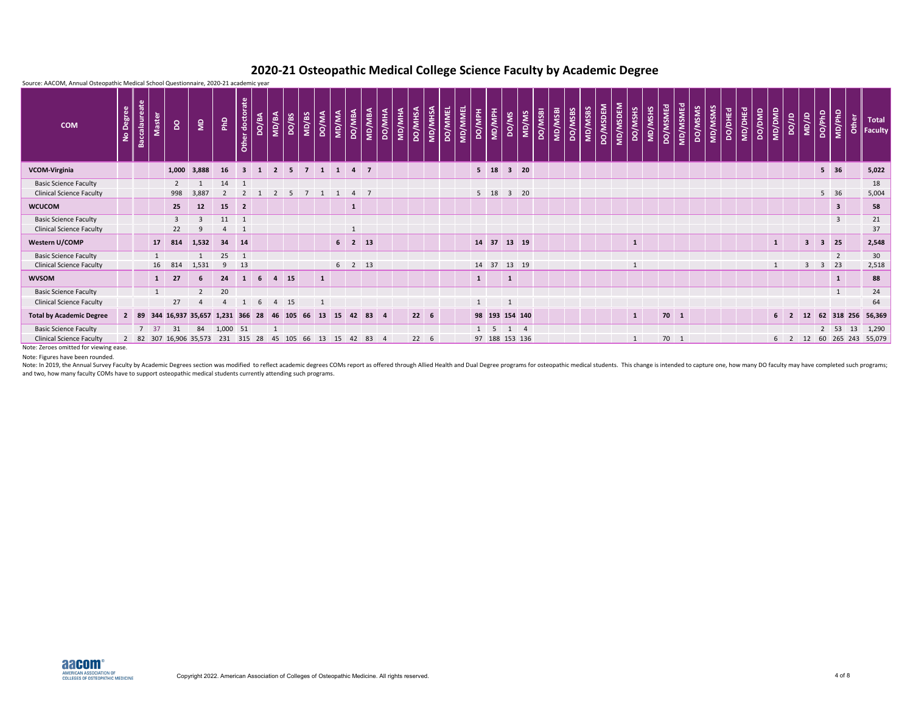| Source: AACOM, Annual Osteopathic Medical School Questionnaire, 2020-21 academic year |           |                      |                   |                |                        |                |                                                       |                |                |                            |                |              |                |                        |        |                |               |                |                |                                  |               |                             |              |              |         |                 |         |         |          |          |              |         |          |          |         |         |         |                |        |              |       |                         |                            |                         |       |                                     |
|---------------------------------------------------------------------------------------|-----------|----------------------|-------------------|----------------|------------------------|----------------|-------------------------------------------------------|----------------|----------------|----------------------------|----------------|--------------|----------------|------------------------|--------|----------------|---------------|----------------|----------------|----------------------------------|---------------|-----------------------------|--------------|--------------|---------|-----------------|---------|---------|----------|----------|--------------|---------|----------|----------|---------|---------|---------|----------------|--------|--------------|-------|-------------------------|----------------------------|-------------------------|-------|-------------------------------------|
| <b>COM</b>                                                                            | No Degree | <b>Baccalaureate</b> | <b>Master</b>     | $\mathsf{S}$   | $\epsilon$             | PhD            | ate<br>$\ddot{\mathbf{e}}$<br>la <sup>l</sup><br>Othe | DO/BA          | MD/BA          | DO/BS                      | MD/BS          | DO/MA        | <b>AM/AM</b>   | <b>DO/MBA</b>          | MD/MBA | <b>DO/MHA</b>  | <b>MD/MHA</b> | <b>DO/MHSA</b> | <b>MD/MHSA</b> | <b>MD/MMEL</b><br><b>DO/MMEL</b> | <b>HdM/OQ</b> | MD/MPH                      | DO/MS        | MD/MS        | DO/MSBI | I <b>RSM/GM</b> | DO/MSBS | MD/MSBS | DO/MSDEM | MD/MSDEM | DO/MSHS      | MD/MSHS | DO/MSMEd | MD/MSMEd | DO/MSMS | MD/MSMS | DO/DHEd | <b>MD/DHEd</b> | DO/DMD | and/aw       | ar/oa | ar/aw                   | DO/PhD                     | MD/PhD                  | Other | <b>Total</b><br>$\parallel$ Faculty |
| <b>VCOM-Virginia</b>                                                                  |           |                      |                   | 1,000          | 3,888                  | 16             | 3 <sup>1</sup>                                        | $\blacksquare$ | $\overline{2}$ | 5 <sub>5</sub>             | $\overline{7}$ | $1 \quad 1$  |                | $4 \overline{7}$       |        |                |               |                |                |                                  |               | $5 \quad 18$                |              | $3 \quad 20$ |         |                 |         |         |          |          |              |         |          |          |         |         |         |                |        |              |       |                         | $5 \quad 36$               |                         |       | 5,022                               |
| <b>Basic Science Faculty</b>                                                          |           |                      |                   | $\overline{2}$ |                        | 14             | $\overline{1}$                                        |                |                |                            |                |              |                |                        |        |                |               |                |                |                                  |               |                             |              |              |         |                 |         |         |          |          |              |         |          |          |         |         |         |                |        |              |       |                         |                            |                         |       | 18                                  |
| <b>Clinical Science Faculty</b>                                                       |           |                      |                   | 998            | 3,887                  | $\overline{2}$ | $\overline{2}$                                        |                | 2              | - 5                        | $\overline{7}$ | 1            | $\mathbf{1}$   | 4 7                    |        |                |               |                |                |                                  |               | $5$ 18                      |              | $3 \quad 20$ |         |                 |         |         |          |          |              |         |          |          |         |         |         |                |        |              |       |                         | 5 36                       |                         |       | 5,004                               |
| <b>WCUCOM</b>                                                                         |           |                      |                   | 25             | 12                     | 15             | $\overline{2}$                                        |                |                |                            |                |              |                | $\mathbf{1}$           |        |                |               |                |                |                                  |               |                             |              |              |         |                 |         |         |          |          |              |         |          |          |         |         |         |                |        |              |       |                         |                            | $\overline{\mathbf{3}}$ |       | 58                                  |
| <b>Basic Science Faculty</b>                                                          |           |                      |                   | $\overline{3}$ | $\mathbf{R}$           | $11$ 1         |                                                       |                |                |                            |                |              |                |                        |        |                |               |                |                |                                  |               |                             |              |              |         |                 |         |         |          |          |              |         |          |          |         |         |         |                |        |              |       |                         |                            | $\overline{3}$          |       | 21                                  |
| <b>Clinical Science Faculty</b>                                                       |           |                      |                   | 22             | $\mathbf{q}$           |                | $\overline{1}$                                        |                |                |                            |                |              |                | $\mathbf{1}$           |        |                |               |                |                |                                  |               |                             |              |              |         |                 |         |         |          |          |              |         |          |          |         |         |         |                |        |              |       |                         |                            |                         |       | 37                                  |
| Western U/COMP                                                                        |           |                      | 17                | 814            | 1,532                  |                | 34 14                                                 |                |                |                            |                |              | 6 <sup>1</sup> | $2 \mid 13$            |        |                |               |                |                |                                  |               | 14 37                       |              | 13 19        |         |                 |         |         |          |          | $\mathbf{1}$ |         |          |          |         |         |         |                |        | $\mathbf{1}$ |       | $\overline{\mathbf{3}}$ | $\overline{\phantom{a}}$ 3 | 25                      |       | 2,548                               |
| <b>Basic Science Faculty</b>                                                          |           |                      | 1                 |                |                        | 25             | $\overline{1}$                                        |                |                |                            |                |              |                |                        |        |                |               |                |                |                                  |               |                             |              |              |         |                 |         |         |          |          |              |         |          |          |         |         |         |                |        |              |       |                         |                            | $\overline{2}$          |       | 30 <sup>°</sup>                     |
| <b>Clinical Science Faculty</b>                                                       |           |                      | 16                | 814            | 1,531                  | 9              | 13                                                    |                |                |                            |                |              |                | $6 \qquad 2 \qquad 13$ |        |                |               |                |                |                                  |               | 14 37                       |              | 13 19        |         |                 |         |         |          |          | $\mathbf{1}$ |         |          |          |         |         |         |                |        | 1            |       | $\overline{3}$          | $\overline{\mathbf{3}}$    | 23                      |       | 2,518                               |
| <b>WVSOM</b>                                                                          |           |                      | $\mathbf{1}$      | 27             | 6                      | 24             | $\mathbf{1}$                                          | 6              | $4 \quad 15$   |                            |                | $\mathbf{1}$ |                |                        |        |                |               |                |                |                                  | $\mathbf{1}$  |                             | $\mathbf{1}$ |              |         |                 |         |         |          |          |              |         |          |          |         |         |         |                |        |              |       |                         |                            | $\mathbf{1}$            |       | 88                                  |
| <b>Basic Science Faculty</b>                                                          |           |                      | $\overline{1}$    |                | $\overline{2}$         | 20             |                                                       |                |                |                            |                |              |                |                        |        |                |               |                |                |                                  |               |                             |              |              |         |                 |         |         |          |          |              |         |          |          |         |         |         |                |        |              |       |                         |                            | $\mathbf{1}$            |       | 24                                  |
| <b>Clinical Science Faculty</b>                                                       |           |                      |                   | 27             |                        |                |                                                       | 6              | $\overline{4}$ | 15                         |                |              |                |                        |        |                |               |                |                |                                  |               |                             |              |              |         |                 |         |         |          |          |              |         |          |          |         |         |         |                |        |              |       |                         |                            |                         |       | 64                                  |
| <b>Total by Academic Degree</b>                                                       |           | $2 \mid 89$          |                   |                | 344 16,937 35,657      | 1,231 366      |                                                       | 28             |                | 46 105                     | 66             | 13           | 15             | 42                     | 83     | $\overline{4}$ |               | $22 \t 6$      |                |                                  |               | 98 193 154 140              |              |              |         |                 |         |         |          |          | $\mathbf{1}$ |         | $70$ 1   |          |         |         |         |                |        | $6 \quad 2$  |       | 12                      |                            | 62 318 256              |       | 56,369                              |
| <b>Basic Science Faculty</b>                                                          |           |                      | $7 \overline{37}$ | 31             | 84                     | 1,000 51       |                                                       |                | $\mathbf{1}$   |                            |                |              |                |                        |        |                |               |                |                |                                  |               | $1 \quad 5 \quad 1 \quad 4$ |              |              |         |                 |         |         |          |          |              |         |          |          |         |         |         |                |        |              |       |                         |                            | $2 \quad 53$            | 13    | 1,290                               |
| <b>Clinical Science Faculty</b>                                                       |           |                      |                   |                | 2 82 307 16,906 35,573 |                |                                                       |                |                | 231 315 28 45 105 66 13 15 |                |              |                | 42 83                  |        | -4             |               | $22 \t 6$      |                |                                  |               | 97 188 153 136              |              |              |         |                 |         |         |          |          | 1            |         | 70 1     |          |         |         |         |                |        | $6 \quad 2$  |       | 12                      |                            |                         |       | 60 265 243 55,079                   |

Note: In 2019, the Annual Survey Faculty by Academic Degrees section was modified to reflect academic degrees COMs report as offered through Allied Health and Dual Degree programs for osteopathic medical students. This cha and two, how many faculty COMs have to support osteopathic medical students currently attending such programs.

Note: Figures have been rounded.

Note: Zeroes omitted for viewing ease.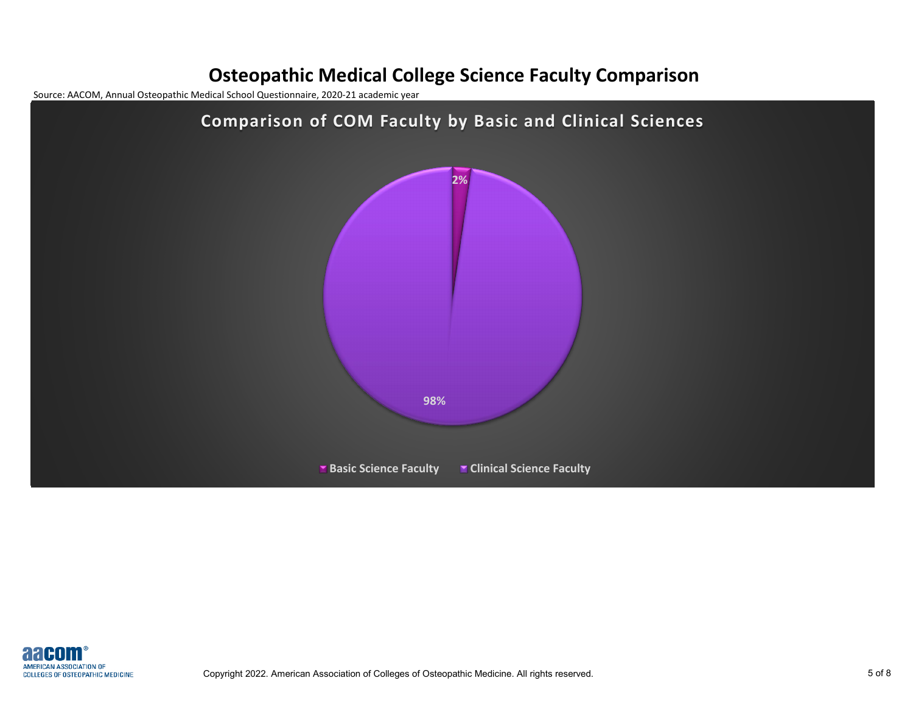#### **Osteopathic Medical College Science Faculty Comparison**

Source: AACOM, Annual Osteopathic Medical School Questionnaire, 2020-21 academic year



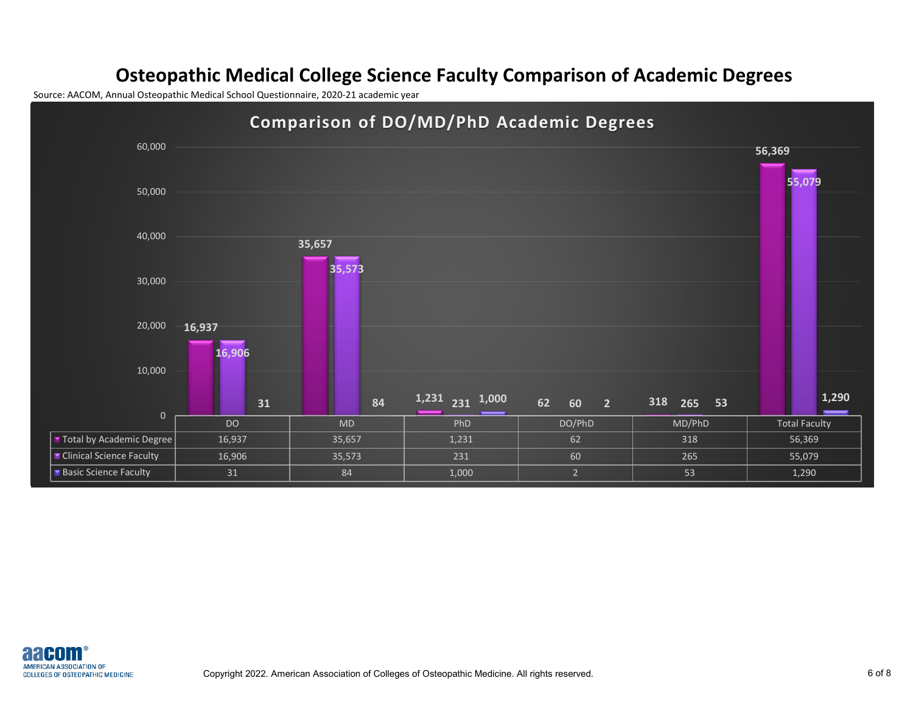#### **Osteopathic Medical College Science Faculty Comparison of Academic Degrees**

Source: AACOM, Annual Osteopathic Medical School Questionnaire, 2020-21 academic year



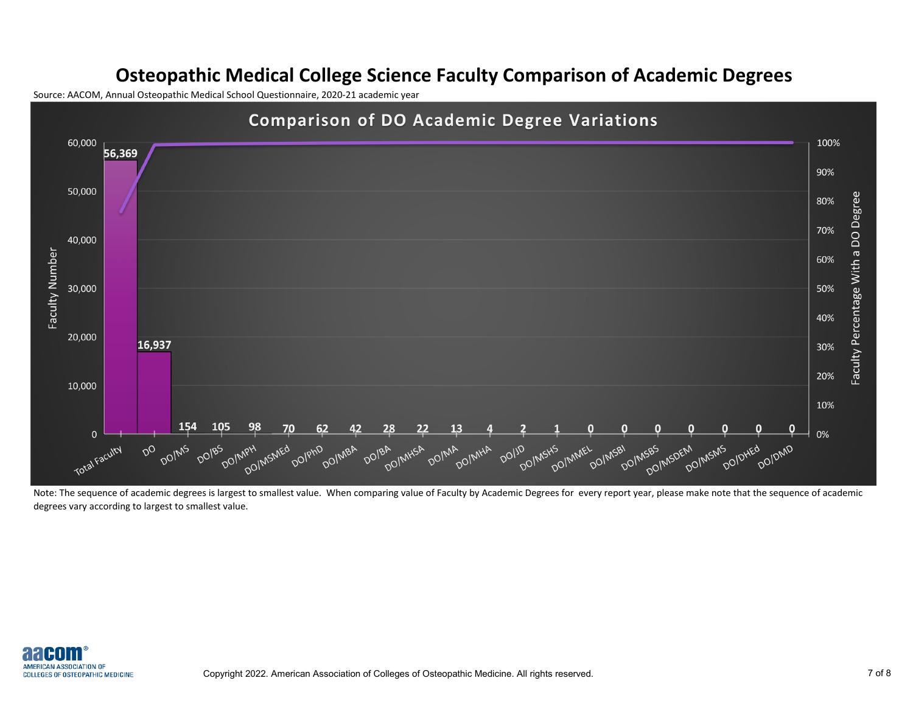#### **Osteopathic Medical College Science Faculty Comparison of Academic Degrees**

Source: AACOM, Annual Osteopathic Medical School Questionnaire, 2020-21 academic year



Note: The sequence of academic degrees is largest to smallest value. When comparing value of Faculty by Academic Degrees for every report year, please make note that the sequence of academic degrees vary according to largest to smallest value.